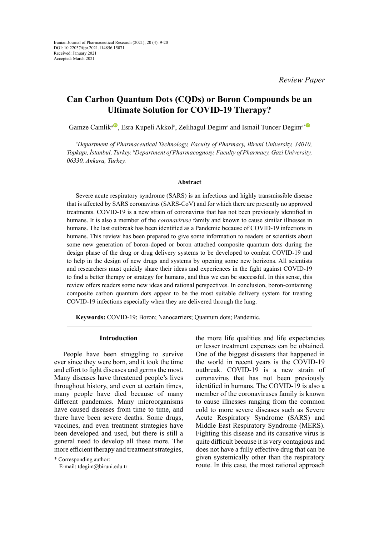*Review Paper*

# **Can Carbon Quantum Dots (CQDs) or Boron Compounds be an Ultimate Solution for COVID-19 Therapy?**

Gamze Camlik<sup>a®</sup>[,](https://orcid.org/0000-0003-3282-8307) Esra Kupeli Akkol<sup>β</sup>, Zelihagul Degim<sup>a</sup> and Ismail Tuncer Degim<sup>a</sup>[\\*](https://orcid.org/0000-0002-9329-4698)

*a Department of Pharmaceutical Technology, Faculty of Pharmacy, Biruni University, 34010, Topkapı, İstanbul, Turkey. <sup>b</sup> Department of Pharmacognosy, Faculty of Pharmacy, Gazi University, 06330, Ankara, Turkey.*

#### **Abstract**

Severe acute respiratory syndrome (SARS) is an infectious and highly transmissible disease that is affected by SARS coronavirus (SARS-CoV) and for which there are presently no approved treatments. COVID-19 is a new strain of coronavirus that has not been previously identified in humans. It is also a member of the *coronaviruse* family and known to cause similar illnesses in humans. The last outbreak has been identified as a Pandemic because of COVID-19 infections in humans. This review has been prepared to give some information to readers or scientists about some new generation of boron-doped or boron attached composite quantum dots during the design phase of the drug or drug delivery systems to be developed to combat COVID-19 and to help in the design of new drugs and systems by opening some new horizons. All scientists and researchers must quickly share their ideas and experiences in the fight against COVID-19 to find a better therapy or strategy for humans, and thus we can be successful. In this sense, this review offers readers some new ideas and rational perspectives. In conclusion, boron-containing composite carbon quantum dots appear to be the most suitable delivery system for treating COVID-19 infections especially when they are delivered through the lung.

**Keywords:** COVID-19; Boron; Nanocarriers; Quantum dots; Pandemic.

#### **Introduction**

People have been struggling to survive ever since they were born, and it took the time and effort to fight diseases and germs the most. Many diseases have threatened people's lives throughout history, and even at certain times, many people have died because of many different pandemics. Many microorganisms have caused diseases from time to time, and there have been severe deaths. Some drugs, vaccines, and even treatment strategies have been developed and used, but there is still a general need to develop all these more. The more efficient therapy and treatment strategies,

the more life qualities and life expectancies or lesser treatment expenses can be obtained. One of the biggest disasters that happened in the world in recent years is the COVID-19 outbreak. COVID-19 is a new strain of coronavirus that has not been previously identified in humans. The COVID-19 is also a member of the coronaviruses family is known to cause illnesses ranging from the common cold to more severe diseases such as Severe Acute Respiratory Syndrome (SARS) and Middle East Respiratory Syndrome (MERS). Fighting this disease and its causative virus is quite difficult because it is very contagious and does not have a fully effective drug that can be given systemically other than the respiratory route. In this case, the most rational approach

<sup>\*</sup> Corresponding author: E-mail: tdegim@biruni.edu.tr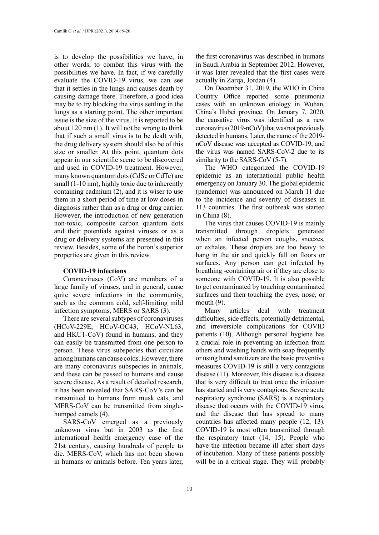is to develop the possibilities we have, in other words, to combat this virus with the possibilities we have. In fact, if we carefully evaluate the COVID-19 virus, we can see that it settles in the lungs and causes death by causing damage there. Therefore, a good idea may be to try blocking the virus settling in the lungs as a starting point. The other important issue is the size of the virus. It is reported to be about 120 nm (1). It will not be wrong to think that if such a small virus is to be dealt with, the drug delivery system should also be of this size or smaller. At this point, quantum dots appear in our scientific scene to be discovered and used in COVID-19 treatment. However, many known quantum dots (CdSe or CdTe) are small (1-10 nm), highly toxic due to inherently containing cadmium (2), and it is wiser to use them in a short period of time at low doses in diagnosis rather than as a drug or drug carrier. However, the introduction of new generation non-toxic, composite carbon quantum dots and their potentials against viruses or as a drug or delivery systems are presented in this review. Besides, some of the boron's superior properties are given in this review.

#### **COVID-19 infections**

Coronaviruses (CoV) are members of a large family of viruses, and in general, cause quite severe infections in the community, such as the common cold, self-limiting mild infection symptoms, MERS or SARS (3).

There are several subtypes of coronaviruses (HCoV-229E, HCoV-OC43, HCoV-NL63, and HKU1-CoV) found in humans, and they can easily be transmitted from one person to person. These virus subspecies that circulate among humans can cause colds. However, there are many coronavirus subspecies in animals, and these can be passed to humans and cause severe disease. As a result of detailed research, it has been revealed that SARS-CoV's can be transmitted to humans from musk cats, and MERS-CoV can be transmitted from singlehumped camels (4).

SARS-CoV emerged as a previously unknown virus but in 2003 as the first international health emergency case of the 21st century, causing hundreds of people to die. MERS-CoV, which has not been shown in humans or animals before. Ten years later,

the first coronavirus was described in humans in Saudi Arabia in September 2012. However, it was later revealed that the first cases were actually in Zarqa, Jordan (4).

On December 31, 2019, the WHO in China Country Office reported some pneumonia cases with an unknown etiology in Wuhan, China's Hubei province. On January 7, 2020, the causative virus was identified as a new coronavirus (2019-nCoV) that was not previously detected in humans. Later, the name of the 2019 nCoV disease was accepted as COVID-19, and the virus was named SARS-CoV-2 due to its similarity to the SARS-CoV (5-7).

The WHO categorized the COVID-19 epidemic as an international public health emergency on January 30. The global epidemic (pandemic) was announced on March 11 due to the incidence and severity of diseases in 113 countries. The first outbreak was started in China (8).

The virus that causes COVID-19 is mainly transmitted through droplets generated when an infected person coughs, sneezes, or exhales. These droplets are too heavy to hang in the air and quickly fall on floors or surfaces. Any person can get infected by breathing -containing air or if they are close to someone with COVID-19. It is also possible to get contaminated by touching contaminated surfaces and then touching the eyes, nose, or mouth  $(9)$ .

Many articles deal with treatment difficulties, side effects, potentially detrimental, and irreversible complications for COVID patients (10). Although personal hygiene has a crucial role in preventing an infection from others and washing hands with soap frequently or using hand sanitizers are the basic preventive measures COVID-19 is still a very contagious disease (11). Moreover, this disease is a disease that is very difficult to treat once the infection has started and is very contagious. Severe acute respiratory syndrome (SARS) is a respiratory disease that occurs with the COVID-19 virus, and the disease that has spread to many countries has affected many people (12, 13). COVID-19 is most often transmitted through the respiratory tract (14, 15). People who have the infection became ill after short days of incubation. Many of these patients possibly will be in a critical stage. They will probably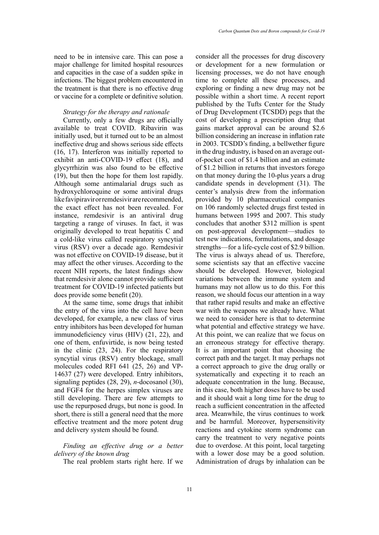need to be in intensive care. This can pose a major challenge for limited hospital resources and capacities in the case of a sudden spike in infections. The biggest problem encountered in the treatment is that there is no effective drug or vaccine for a complete or definitive solution.

#### *Strategy for the therapy and rationale*

Currently, only a few drugs are officially available to treat COVID. Ribavirin was initially used, but it turned out to be an almost ineffective drug and shows serious side effects (16, 17). Interferon was initially reported to exhibit an anti-COVID-19 effect (18), and glycyrrhizin was also found to be effective (19), but then the hope for them lost rapidly. Although some antimalarial drugs such as hydroxychloroquine or some antiviral drugs like favipiravir or remdesivir are recommended, the exact effect has not been revealed. For instance, remdesivir is an antiviral drug targeting a range of viruses. In fact, it was originally developed to treat hepatitis C and a cold-like virus called respiratory syncytial virus (RSV) over a decade ago. Remdesivir was not effective on COVID-19 disease, but it may affect the other viruses. According to the recent NIH reports, the latest findings show that remdesivir alone cannot provide sufficient treatment for COVID-19 infected patients but does provide some benefit (20).

At the same time, some drugs that inhibit the entry of the virus into the cell have been developed, for example, a new class of virus entry inhibitors has been developed for human immunodeficiency virus (HIV) (21, 22), and one of them, enfuvirtide, is now being tested in the clinic (23, 24). For the respiratory syncytial virus (RSV) entry blockage, small molecules coded RFI 641 (25, 26) and VP-14637 (27) were developed. Entry inhibitors, signaling peptides (28, 29), *n*-docosanol (30), and FGF4 for the herpes simplex viruses are still developing. There are few attempts to use the repurposed drugs, but none is good. In short, there is still a general need that the more effective treatment and the more potent drug and delivery system should be found.

# *Finding an effective drug or a better delivery of the known drug*

The real problem starts right here. If we

consider all the processes for drug discovery or development for a new formulation or licensing processes, we do not have enough time to complete all these processes, and exploring or finding a new drug may not be possible within a short time. A recent report published by the Tufts Center for the Study of Drug Development (TCSDD) pegs that the cost of developing a prescription drug that gains market approval can be around \$2.6 billion considering an increase in inflation rate in 2003. TCSDD's finding, a bellwether figure in the drug industry, is based on an average outof-pocket cost of \$1.4 billion and an estimate of \$1.2 billion in returns that investors forego on that money during the 10-plus years a drug candidate spends in development (31). The center's analysis drew from the information provided by 10 pharmaceutical companies on 106 randomly selected drugs first tested in humans between 1995 and 2007. This study concludes that another \$312 million is spent on post-approval development—studies to test new indications, formulations, and dosage strengths—for a life-cycle cost of \$2.9 billion. The virus is always ahead of us. Therefore, some scientists say that an effective vaccine should be developed. However, biological variations between the immune system and humans may not allow us to do this. For this reason, we should focus our attention in a way that rather rapid results and make an effective war with the weapons we already have. What we need to consider here is that to determine what potential and effective strategy we have. At this point, we can realize that we focus on an erroneous strategy for effective therapy. It is an important point that choosing the correct path and the target. It may perhaps not a correct approach to give the drug orally or systematically and expecting it to reach an adequate concentration in the lung. Because, in this case, both higher doses have to be used and it should wait a long time for the drug to reach a sufficient concentration in the affected area. Meanwhile, the virus continues to work and be harmful. Moreover, hypersensitivity reactions and cytokine storm syndrome can carry the treatment to very negative points due to overdose. At this point, local targeting with a lower dose may be a good solution. Administration of drugs by inhalation can be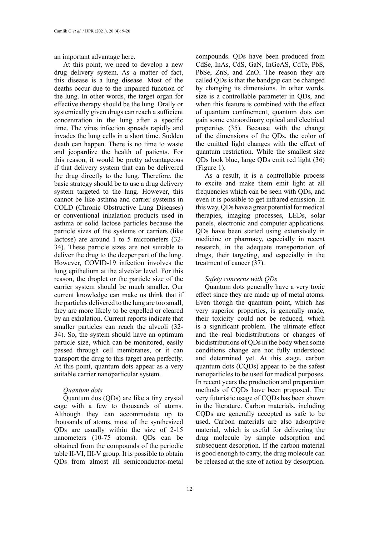an important advantage here.

At this point, we need to develop a new drug delivery system. As a matter of fact, this disease is a lung disease. Most of the deaths occur due to the impaired function of the lung. In other words, the target organ for effective therapy should be the lung. Orally or systemically given drugs can reach a sufficient concentration in the lung after a specific time. The virus infection spreads rapidly and invades the lung cells in a short time. Sudden death can happen. There is no time to waste and jeopardize the health of patients. For this reason, it would be pretty advantageous if that delivery system that can be delivered the drug directly to the lung. Therefore, the basic strategy should be to use a drug delivery system targeted to the lung. However, this cannot be like asthma and carrier systems in COLD (Chronic Obstructive Lung Diseases) or conventional inhalation products used in asthma or solid lactose particles because the particle sizes of the systems or carriers (like lactose) are around 1 to 5 micrometers (32-34). These particle sizes are not suitable to deliver the drug to the deeper part of the lung. However, COVID-19 infection involves the lung epithelium at the alveolar level. For this reason, the droplet or the particle size of the carrier system should be much smaller. Our current knowledge can make us think that if the particles delivered to the lung are too small, they are more likely to be expelled or cleared by an exhalation. Current reports indicate that smaller particles can reach the alveoli (32- 34). So, the system should have an optimum particle size, which can be monitored, easily passed through cell membranes, or it can transport the drug to this target area perfectly. At this point, quantum dots appear as a very suitable carrier nanoparticular system.

#### *Quantum dots*

Quantum dos (QDs) are like a tiny crystal cage with a few to thousands of atoms. Although they can accommodate up to thousands of atoms, most of the synthesized QDs are usually within the size of 2-15 nanometers (10-75 atoms). QDs can be obtained from the compounds of the periodic table II-VI, III-V group. It is possible to obtain QDs from almost all semiconductor-metal

compounds. QDs have been produced from CdSe, InAs, CdS, GaN, InGeAS, CdTe, PbS, PbSe, ZnS, and ZnO. The reason they are called QDs is that the bandgap can be changed by changing its dimensions. In other words, size is a controllable parameter in QDs, and when this feature is combined with the effect of quantum confinement, quantum dots can gain some extraordinary optical and electrical properties (35). Because with the change of the dimensions of the QDs, the color of the emitted light changes with the effect of quantum restriction. While the smallest size QDs look blue, large QDs emit red light (36) (Figure 1).

As a result, it is a controllable process to excite and make them emit light at all frequencies which can be seen with QDs, and even it is possible to get infrared emission. In this way, QDs have a great potential for medical therapies, imaging processes, LEDs, solar panels, electronic and computer applications. QDs have been started using extensively in medicine or pharmacy, especially in recent research, in the adequate transportation of drugs, their targeting, and especially in the treatment of cancer (37).

# *Safety concerns with QDs*

Quantum dots generally have a very toxic effect since they are made up of metal atoms. Even though the quantum point, which has very superior properties, is generally made, their toxicity could not be reduced, which is a significant problem. The ultimate effect and the real biodistributions or changes of biodistributions of QDs in the body when some conditions change are not fully understood and determined yet. At this stage, carbon quantum dots (CQDs) appear to be the safest nanoparticles to be used for medical purposes. In recent years the production and preparation methods of CQDs have been proposed. The very futuristic usage of CQDs has been shown in the literature. Carbon materials, including CQDs are generally accepted as safe to be used. Carbon materials are also adsorptive material, which is useful for delivering the drug molecule by simple adsorption and subsequent desorption. If the carbon material is good enough to carry, the drug molecule can be released at the site of action by desorption.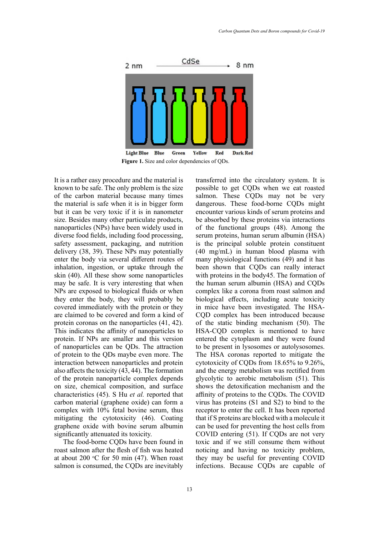

It is a rather easy procedure and the material is known to be safe. The only problem is the size of the carbon material because many times the material is safe when it is in bigger form but it can be very toxic if it is in nanometer size. Besides many other particulate products, nanoparticles (NPs) have been widely used in diverse food fields, including food processing, safety assessment, packaging, and nutrition delivery (38, 39). These NPs may potentially enter the body via several different routes of inhalation, ingestion, or uptake through the skin (40). All these show some nanoparticles may be safe. It is very interesting that when NPs are exposed to biological fluids or when they enter the body, they will probably be covered immediately with the protein or they are claimed to be covered and form a kind of protein coronas on the nanoparticles (41, 42). This indicates the affinity of nanoparticles to protein. If NPs are smaller and this version of nanoparticles can be QDs. The attraction of protein to the QDs maybe even more. The interaction between nanoparticles and protein also affects the toxicity (43, 44). The formation of the protein nanoparticle complex depends on size, chemical composition, and surface characteristics (45). S Hu *et al.* reported that carbon material (graphene oxide) can form a complex with 10% fetal bovine serum, thus mitigating the cytotoxicity (46). Coating graphene oxide with bovine serum albumin significantly attenuated its toxicity.

The food-borne CQDs have been found in roast salmon after the flesh of fish was heated at about 200  $\degree$ C for 50 min (47). When roast salmon is consumed, the CQDs are inevitably

e and the material is transferred into the circulatory system. It is possible to get CQDs when we eat roasted salmon. These CQDs may not be very dangerous. These food-borne CQDs might encounter various kinds of serum proteins and be absorbed by these proteins via interactions of the functional groups (48). Among the serum proteins, human serum albumin (HSA) is the principal soluble protein constituent (40 mg/mL) in human blood plasma with many physiological functions (49) and it has been shown that CQDs can really interact with proteins in the body45. The formation of the human serum albumin (HSA) and CQDs complex like a corona from roast salmon and biological effects, including acute toxicity in mice have been investigated. The HSA-CQD complex has been introduced because of the static binding mechanism (50). The HSA-CQD complex is mentioned to have entered the cytoplasm and they were found to be present in lysosomes or autolysosomes. The HSA coronas reported to mitigate the cytotoxicity of CQDs from 18.65% to 9.26%, and the energy metabolism was rectified from glycolytic to aerobic metabolism (51). This shows the detoxification mechanism and the affinity of proteins to the CQDs. The COVID virus has proteins (S1 and S2) to bind to the receptor to enter the cell. It has been reported that if S proteins are blocked with a molecule it can be used for preventing the host cells from COVID entering (51). If CQDs are not very toxic and if we still consume them without noticing and having no toxicity problem, they may be useful for preventing COVID infections. Because CQDs are capable of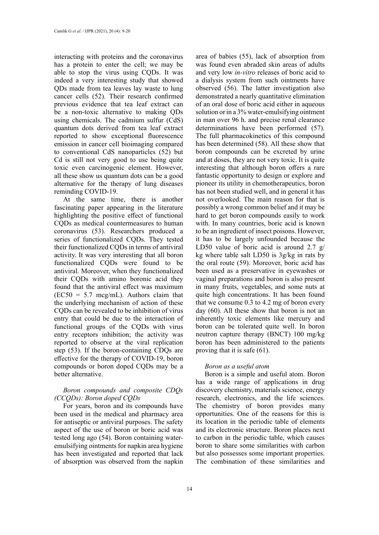interacting with proteins and the coronavirus has a protein to enter the cell; we may be able to stop the virus using CQDs. It was indeed a very interesting study that showed QDs made from tea leaves lay waste to lung cancer cells (52). Their research confirmed previous evidence that tea leaf extract can be a non-toxic alternative to making QDs using chemicals. The cadmium sulfur (CdS) quantum dots derived from tea leaf extract reported to show exceptional fluorescence emission in cancer cell bioimaging compared to conventional CdS nanoparticles (52) but Cd is still not very good to use being quite toxic even carcinogenic element. However, all these show us quantum dots can be a good alternative for the therapy of lung diseases reminding COVID-19.

At the same time, there is another fascinating paper appearing in the literature highlighting the positive effect of functional CQDs as medical countermeasures to human coronavirus (53). Researchers produced a series of functionalized CQDs. They tested their functionalized CQDs in terms of antiviral activity. It was very interesting that all boron functionalized CQDs were found to be antiviral. Moreover, when they functionalized their CQDs with amino boronic acid they found that the antiviral effect was maximum  $(EC50 = 5.7$  mcg/mL). Authors claim that the underlying mechanism of action of these CQDs can be revealed to be inhibition of virus entry that could be due to the interaction of functional groups of the CQDs with virus entry receptors inhibition; the activity was reported to observe at the viral replication step (53). If the boron-containing CDQs are effective for the therapy of COVID-19, boron compounds or boron doped CQDs may be a better alternative.

# *Boron compounds and composite CDQs (CCQDs): Boron doped CQDs*

For years, boron and its compounds have been used in the medical and pharmacy area for antiseptic or antiviral purposes. The safety aspect of the use of boron or boric acid was tested long ago (54). Boron containing wateremulsifying ointments for napkin area hygiene has been investigated and reported that lack of absorption was observed from the napkin area of babies (55), lack of absorption from was found even abraded skin areas of adults and very low *in-vitro* releases of boric acid to a dialysis system from such ointments have observed (56). The latter investigation also demonstrated a nearly quantitative elimination of an oral dose of boric acid either in aqueous solution or in a 3% water-emulsifying ointment in man over 96 h. and precise renal clearance determinations have been performed (57). The full pharmacokinetics of this compound has been determined (58). All these show that boron compounds can be excreted by urine and at doses, they are not very toxic. It is quite interesting that although boron offers a rare fantastic opportunity to design or explore and pioneer its utility in chemotherapeutics, boron has not been studied well, and in general it has not overlooked. The main reason for that is possibly a wrong common belief and it may be hard to get boron compounds easily to work with. In many countries, boric acid is known to be an ingredient of insect poisons. However, it has to be largely unfounded because the LD50 value of boric acid is around 2.7  $g$ / kg where table salt LD50 is 3g/kg in rats by the oral route (59). Moreover, boric acid has been used as a preservative in eyewashes or vaginal preparations and boron is also present in many fruits, vegetables, and some nuts at quite high concentrations. It has been found that we consume 0.3 to 4.2 mg of boron every day (60). All these show that boron is not an inherently toxic elements like mercury and boron can be tolerated quite well. In boron neutron capture therapy (BNCT) 100 mg/kg boron has been administered to the patients proving that it is safe (61).

## *Boron as a useful atom*

Boron is a simple and useful atom. Boron has a wide range of applications in drug discovery chemistry, materials science, energy research, electronics, and the life sciences. The chemistry of boron provides many opportunities. One of the reasons for this is its location in the periodic table of elements and its electronic structure. Boron places next to carbon in the periodic table, which causes boron to share some similarities with carbon but also possesses some important properties. The combination of these similarities and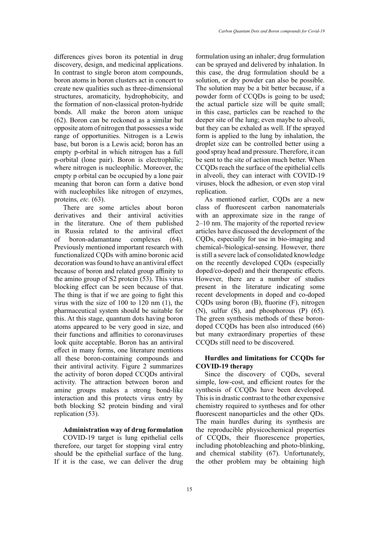differences gives boron its potential in drug discovery, design, and medicinal applications. In contrast to single boron atom compounds, boron atoms in boron clusters act in concert to create new qualities such as three-dimensional structures, aromaticity, hydrophobicity, and the formation of non-classical proton-hydride bonds. All make the boron atom unique (62). Boron can be reckoned as a similar but opposite atom of nitrogen that possesses a wide range of opportunities. Nitrogen is a Lewis base, but boron is a Lewis acid; boron has an empty p-orbital in which nitrogen has a full p-orbital (lone pair). Boron is electrophilic; where nitrogen is nucleophilic. Moreover, the empty p orbital can be occupied by a lone pair meaning that boron can form a dative bond with nucleophiles like nitrogen of enzymes, proteins, *etc.* (63).

There are some articles about boron derivatives and their antiviral activities in the literature. One of them published in Russia related to the antiviral effect of boron-adamantane complexes (64). Previously mentioned important research with functionalized CQDs with amino boronic acid decoration was found to have an antiviral effect because of boron and related group affinity to the amino group of S2 protein (53). This virus blocking effect can be seen because of that. The thing is that if we are going to fight this virus with the size of 100 to 120 nm (1), the pharmaceutical system should be suitable for this. At this stage, quantum dots having boron atoms appeared to be very good in size, and their functions and affinities to coronaviruses look quite acceptable. Boron has an antiviral effect in many forms, one literature mentions all these boron-containing compounds and their antiviral activity. Figure 2 summarizes the activity of boron doped CCQDs antiviral activity. The attraction between boron and amine groups makes a strong bond-like interaction and this protects virus entry by both blocking S2 protein binding and viral replication (53).

# **Administration way of drug formulation**

COVID-19 target is lung epithelial cells therefore, our target for stopping viral entry should be the epithelial surface of the lung. If it is the case, we can deliver the drug

formulation using an inhaler; drug formulation can be sprayed and delivered by inhalation. In this case, the drug formulation should be a solution, or dry powder can also be possible. The solution may be a bit better because, if a powder form of CCQDs is going to be used; the actual particle size will be quite small; in this case, particles can be reached to the deeper site of the lung; even maybe to alveoli, but they can be exhaled as well. If the sprayed form is applied to the lung by inhalation, the droplet size can be controlled better using a good spray head and pressure. Therefore, it can be sent to the site of action much better. When CCQDs reach the surface of the epithelial cells in alveoli, they can interact with COVID-19 viruses, block the adhesion, or even stop viral replication.

As mentioned earlier, CQDs are a new class of fluorescent carbon nanomaterials with an approximate size in the range of 2–10 nm. The majority of the reported review articles have discussed the development of the CQDs, especially for use in bio-imaging and chemical-/biological-sensing. However, there is still a severe lack of consolidated knowledge on the recently developed CQDs (especially doped/co-doped) and their therapeutic effects. However, there are a number of studies present in the literature indicating some recent developments in doped and co-doped CQDs using boron (B), fluorine (F), nitrogen (N), sulfur (S), and phosphorous (P) (65). The green synthesis methods of these borondoped CCQDs has been also introduced (66) but many extraordinary properties of these CCQDs still need to be discovered.

## **Hurdles and limitations for CCQDs for COVID-19 therapy**

Since the discovery of CQDs, several simple, low-cost, and efficient routes for the synthesis of CCQDs have been developed. This is in drastic contrast to the other expensive chemistry required to syntheses and for other fluorescent nanoparticles and the other QDs. The main hurdles during its synthesis are the reproducible physicochemical properties of CCQDs, their fluorescence properties, including photobleaching and photo-blinking, and chemical stability (67). Unfortunately, the other problem may be obtaining high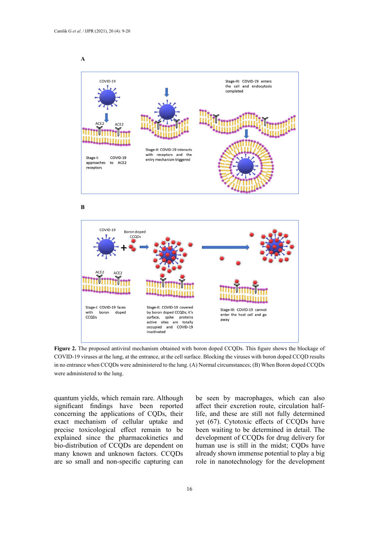



**B** 



COVID-19 viruses at the lung, at the entrance, at the cell surface. Blocking the viruses with boron doped CCQD results in no entrance when CCQDs were administered to the lung. (A) Normal circumstances; (B) When Boron doped CCQDs  $t_{\text{rel}}$  with boron doped CCQ results in no entrance when  $\alpha$ **Figure 2.** The proposed antiviral mechanism obtained with boron doped CCQDs. This figure shows the blockage of were administered to the lung.

quantum yields, which remain rare. Although significant findings have been reported concerning the applications of CQDs, their exact mechanism of cellular uptake and precise toxicological effect remain to be explained since the pharmacokinetics and bio-distribution of CCQDs are dependent on many known and unknown factors. CCQDs are so small and non-specific capturing can

be seen by macrophages, which can also affect their excretion route, circulation halflife, and these are still not fully determined yet (67). Cytotoxic effects of CCQDs have been waiting to be determined in detail. The development of CCQDs for drug delivery for human use is still in the midst; CQDs have already shown immense potential to play a big role in nanotechnology for the development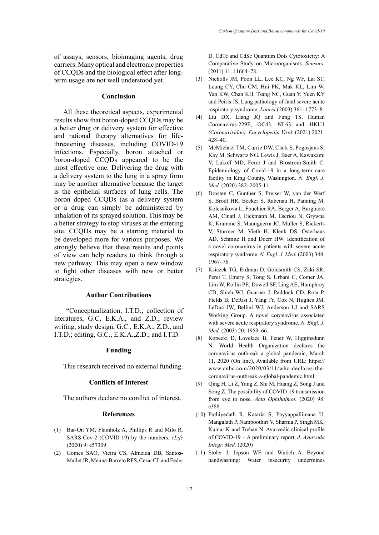of assays, sensors, bioimaging agents, drug carriers. Many optical and electronic properties of CCQDs and the biological effect after longterm usage are not well understood yet.

## **Conclusion**

All these theoretical aspects, experimental results show that boron-doped CCQDs may be a better drug or delivery system for effective and rational therapy alternatives for lifethreatening diseases, including COVID-19 infections. Especially, boron attached or boron-doped CCQDs appeared to be the most effective one. Delivering the drug with a delivery system to the lung in a spray form may be another alternative because the target is the epithelial surfaces of lung cells. The boron doped CCQDs (as a delivery system or a drug can simply be administered by inhalation of its sprayed solution. This may be a better strategy to stop viruses at the entering site. CCQDs may be a starting material to be developed more for various purposes. We strongly believe that these results and points of view can help readers to think through a new pathway. This may open a new window to fight other diseases with new or better strategies.

## **Author Contributions**

"Conceptualization, I.T.D.; collection of literatures, G.C, E.K.A., and Z.D.; review writing, study design, G.C., E.K.A., Z.D., and I.T.D.; editing, G.C., E.K.A.,Z.D., and I.T.D.

#### **Funding**

This research received no external funding.

## **Conflicts of Interest**

The authors declare no conflict of interest.

## **References**

- (1) Bar-On YM, Flamholz A, Phillips R and Milo R. SARS-Cov-2 (COVID-19) by the numbers. *eLife* (2020) 9: e57309
- (2) Gomes SAO, Vieira CS, Almeida DB, Santos-Mallet JR, Menna-Barreto RFS, Cesar CL and Feder

D. CdTe and CdSe Quantum Dots Cytotoxicity: A Comparative Study on Microorganisms. *Sensors.* (2011) 11: 11664–78.

- (3) Nicholls JM, Poon LL, Lee KC, Ng WF, Lai ST, Leung CY, Chu CM, Hui PK, Mak KL, Lim W, Yan KW, Chan KH, Tsang NC, Guan Y, Yuen KY and Peiris JS. Lung pathology of fatal severe acute respiratory syndrome. *Lancet* (2003) 361: 1773–8.
- (4) Liu DX, Liang JQ and Fung TS. Human Coronavirus-229E, -OC43, -NL63, and -HKU1 *(Coronaviridae). Encyclopedia Virol*. (2021) 2021: 428–40.
- (5) McMichael TM, Currie DW, Clark S, Pogosjans S, Kay M, Schwartz NG, Lewis J, Baer A, Kawakami V, Lukoff MD, Ferro J and Brostrom-Smith C. Epidemiology of Covid-19 in a long-term care facility in King County, Washington. *N. Engl. J. Med.* (2020) 382: 2005-11.
- (6) Drosten C, Gunther S, Preiser W, van der Werf S, Brodt HR, Becker S, Rabenau H, Panning M, Kolesnikova L, Fouchier RA, Berger A, Burguiere AM, Cinatl J, Eickmann M, Escriou N, Grywna K, Kramme S, Manuguerra JC, Muller S, Rickerts V, Sturmer M, Vieth H, Klenk DS, Osterhaus AD, Schmitz H and Doerr HW. Identification of a novel coronavirus in patients with severe acute respiratory syndrome. *N. Engl. J. Med.* (2003) 348: 1967–76.
- (7) Ksiazek TG, Erdman D, Goldsmith CS, Zaki SR, Peret T, Emery S, Tong S, Urbani C, Comer JA, Lim W, Rollin PE, Dowell SF, Ling AE, Humphrey CD, Shieh WJ, Guarner J, Paddock CD, Rota P, Fields B, DeRisi J, Yang JY, Cox N, Hughes JM, LeDuc JW, Bellini WJ, Anderson LJ and SARS Working Group. A novel coronavirus associated with severe acute respiratory syndrome. *N. Engl. J. Med.* (2003) 20: 1953–66.
- (8) Kopecki D, Lovelace B, Feuer W, Higginsdunn N. World Health Organization declares the coronavirus outbreak a global pandemic, March 11, 2020 (On line), Available from URL: [https://](https://www.cnbc.com/2020/03/11/who-declares-the-coronavirus-outbreak-a-global-pandemic.html) [www.cnbc.com/2020/03/11/who-declares-the](https://www.cnbc.com/2020/03/11/who-declares-the-coronavirus-outbreak-a-global-pandemic.html)[coronavirus-outbreak-a-global-pandemic.html.](https://www.cnbc.com/2020/03/11/who-declares-the-coronavirus-outbreak-a-global-pandemic.html)
- (9) Qing H, Li Z, Yang Z, Shi M, Huang Z, Song J and Song Z. The possibility of COVID‐19 transmission from eye to nose. *Acta Ophthalmol.* (2020) 98: e388.
- (10) Puthiyedath R, Kataria S, Payyappallimana U, Mangalath P, Nampoothiri V, Sharma P, Singh MK, Kumar K and Trehan N. Ayurvedic clinical profile of COVID-19 – A preliminary report. *J. Ayurveda Integr. Med.* (2020)
- (11) Stoler J, Jepson WE and Wutich A. Beyond handwashing: Water insecurity undermines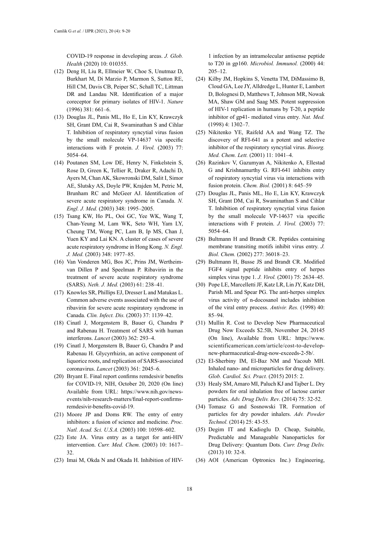COVID-19 response in developing areas. *J. Glob. Health* (2020) 10: 010355.

- (12) Deng H, Liu R, Ellmeier W, Choe S, Unutmaz D, Burkhart M, Di Marzio P, Marmon S, Sutton RE, Hill CM, Davis CB, Peiper SC, Schall TC, Littman DR and Landau NR. Identification of a major coreceptor for primary isolates of HIV-1. *Nature* (1996) 381: 661–6.
- (13) Douglas JL, Panis ML, Ho E, Lin KY, Krawczyk SH, Grant DM, Cai R, Swaminathan S and Cihlar T. Inhibition of respiratory syncytial virus fusion by the small molecule VP-14637 via specific interactions with F protein. *J. Virol.* (2003) 77: 5054–64.
- (14) Poutanen SM, Low DE, Henry N, Finkelstein S, Rose D, Green K, Tellier R, Draker R, Adachi D, Ayers M, Chan AK, Skowronski DM, Salit I, Simor AE, Slutsky AS, Doyle PW, Krajden M, Petric M, Brunham RC and McGeer AJ. Identification of severe acute respiratory syndrome in Canada. *N. Engl. J. Med.* (2003) 348: 1995–2005.
- (15) Tsang KW, Ho PL, Ooi GC, Yee WK, Wang T, Chan-Yeung M, Lam WK, Seto WH, Yam LY, Cheung TM, Wong PC, Lam B, Ip MS, Chan J, Yuen KY and Lai KN. A cluster of cases of severe acute respiratory syndrome in Hong Kong. *N. Engl. J. Med.* (2003) 348: 1977–85.
- (16) Van Vonderen MG, Bos JC, Prins JM, Wertheimvan Dillen P and Speelman P. Ribavirin in the treatment of severe acute respiratory syndrome (SARS). *Neth. J. Med.* (2003) 61: 238–41.
- (17) Knowles SR, Phillips EJ, Dresser L and Matukas L. Common adverse events associated with the use of ribavirin for severe acute respiratory syndrome in Canada. *Clin. Infect. Dis.* (2003) 37: 1139–42.
- (18) Cinatl J, Morgenstern B, Bauer G, Chandra P and Rabenau H. Treatment of SARS with human interferons. *Lancet* (2003) 362: 293–4.
- (19) Cinatl J, Morgenstern B, Bauer G, Chandra P and Rabenau H. Glycyrrhizin, an active component of liquorice roots, and replication of SARS-associated coronavirus. *Lancet* (2003) 361: 2045–6.
- (20) Bryant E. Final report confirms remdesivir benefits for COVID-19, NIH, October 20, 2020 (On line) Available from URL: [https://www.nih.gov/news](https://www.nih.gov/news-events/nih-research-matters/final-report-confirms-remdesivir-benefits-covid-19)[events/nih-research-matters/final-report-confirms](https://www.nih.gov/news-events/nih-research-matters/final-report-confirms-remdesivir-benefits-covid-19)[remdesivir-benefits-covid-19](https://www.nih.gov/news-events/nih-research-matters/final-report-confirms-remdesivir-benefits-covid-19).
- (21) Moore JP and Doms RW. The entry of entry inhibitors: a fusion of science and medicine. *Proc. Natl. Acad. Sci. U.S.A.* (2003) 100: 10598–602.
- (22) Este JA. Virus entry as a target for anti-HIV intervention. *Curr. Med. Chem.* (2003) 10: 1617– 32.
- (23) Imai M, Okda N and Okada H. Inhibition of HIV-

1 infection by an intramolecular antisense peptide to T20 in gp160. *Microbiol. Immunol.* (2000) 44: 205–12.

- (24) Kilby JM, Hopkins S, Venetta TM, DiMassimo B, Cloud GA, Lee JY, Alldredge L, Hunter E, Lambert D, Bolognesi D, Matthews T, Johnson MR, Nowak MA, Shaw GM and Saag MS. Potent suppression of HIV-1 replication in humans by T-20, a peptide inhibitor of gp41- mediated virus entry. *Nat. Med.*  (1998) 4: 1302–7.
- (25) Nikitenko YE, Raifeld AA and Wang TZ. The discovery of RFI-641 as a potent and selective inhibitor of the respiratory syncytial virus. *Bioorg. Med. Chem. Lett.* (2001) 11: 1041–4.
- (26) Razinkov V, Gazumyan A, Nikitenko A, Ellestad G and Krishnamurthy G. RFI-641 inhibits entry of respiratory syncytial virus via interactions with fusion protein. *Chem. Biol.* (2001) 8: 645–59
- (27) Douglas JL, Panis ML, Ho E, Lin KY, Krawczyk SH, Grant DM, Cai R, Swaminathan S and Cihlar T. Inhibition of respiratory syncytial virus fusion by the small molecule VP-14637 via specific interactions with F protein. *J. Virol.* (2003) 77: 5054–64.
- (28) Bultmann H and Brandt CR. Peptides containing membrane transiting motifs inhibit virus entry. *J. Biol. Chem.* (2002) 277: 36018–23.
- (29) Bultmann H, Busse JS and Brandt CR. Modified FGF4 signal peptide inhibits entry of herpes simplex virus type 1. *J. Virol.* (2001) 75: 2634–45.
- (30) Pope LE, Marcelletti JF, Katz LR, Lin JY, Katz DH, Parish ML and Spear PG. The anti-herpes simplex virus activity of n-docosanol includes inhibition of the viral entry process. *Antivir. Res.* (1998) 40: 85–94.
- (31) Mullin R. Cost to Develop New Pharmaceutical Drug Now Exceeds \$2.5B, November 24, 20145 (On line), Available from URL: https://www. scientificamerican.com/article/cost-to-developnew-pharmaceutical-drug-now-exceeds-2-5b/.
- (32) El-Sherbiny IM, El-Baz NM and Yacoub MH. Inhaled nano- and microparticles for drug delivery. *Glob. Cardiol. Sci. Pract.* (2015) 2015: 2.
- (33) Healy SM, Amaro MI, Paluch KJ and Tajber L. Dry powders for oral inhalation free of lactose carrier particles. *Adv. Drug Deliv. Rev*. (2014) 75: 32-52.
- (34) Tomasz G and Sosnowski TR. Formation of particles for dry powder inhalers. *Adv. Powder Technol.* (2014) 25: 43-55.
- (35) Degim IT and Kadioglu D. Cheap, Suitable, Predictable and Manageable Nanoparticles for Drug Delivery: Quantum Dots. *Curr. Drug Deliv.* (2013) 10: 32-8.
- (36) AOI (American Optronics Inc.) Engineering,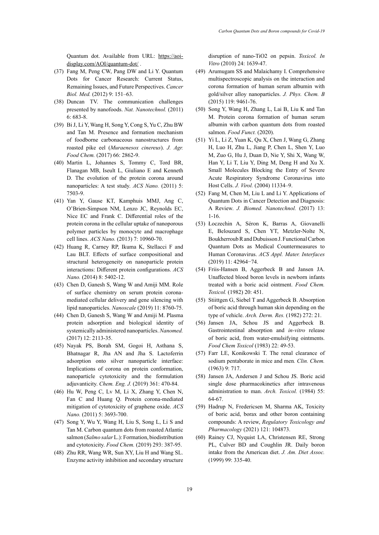Quantum dot. Available from URL: [https://aoi](https://aoi-display.com/AOI/quantum-dot/)[display.com/AOI/quantum-dot/](https://aoi-display.com/AOI/quantum-dot/) .

- (37) Fang M, Peng CW, Pang DW and Li Y. Quantum Dots for Cancer Research: Current Status, Remaining Issues, and Future Perspectives. *Cancer Biol. Med.* (2012) 9: 151–63.
- (38) Duncan TV. The communication challenges presented by nanofoods. *Nat. Nanotechnol.* (2011) 6: 683-8.
- (39) Bi J, Li Y, Wang H, Song Y, Cong S, Yu C, Zhu BW and Tan M. Presence and formation mechanism of foodborne carbonaceous nanostructures from roasted pike eel (*Muraenesox cinereus*). *J. Agr. Food Chem.* (2017) 66: 2862-9.
- (40) Martin L, Johannes S, Tommy C, Tord BR, Flanagan MB, Iseult L, Giuliano E and Kenneth D. The evolution of the protein corona around nanoparticles: A test study. *ACS Nano.* (2011) 5: 7503-9.
- (41) Yan Y, Gause KT, Kamphuis MMJ, Ang C, O'Brien-Simpson NM, Lenzo JC, Reynolds EC, Nice EC and Frank C. Differential roles of the protein corona in the cellular uptake of nanoporous polymer particles by monocyte and macrophage cell lines. *ACS Nano.* (2013) 7: 10960-70.
- (42) Huang R, Carney RP, Ikuma K, Stellacci F and Lau BLT. Effects of surface compositional and structural heterogeneity on nanoparticle protein interactions: Different protein configurations. *ACS Nano.* (2014) 8: 5402-12.
- (43) Chen D, Ganesh S, Wang W and Amiji MM. Role of surface chemistry on serum protein coronamediated cellular delivery and gene silencing with lipid nanoparticles. *Nanoscale* (2019) 11: 8760-75.
- (44) Chen D, Ganesh S, Wang W and Amiji M. Plasma protein adsorption and biological identity of systemically administered nanoparticles. *Nanomed.* (2017) 12: 2113-35.
- (45) Nayak PS, Borah SM, Gogoi H, Asthana S, Bhatnagar R, Jha AN and Jha S. Lactoferrin adsorption onto silver nanoparticle interface: Implications of corona on protein conformation, nanoparticle cytotoxicity and the formulation adjuvanticity. *Chem. Eng. J.* (2019) 361: 470-84.
- (46) Hu W, Peng C, Lv M, Li X, Zhang Y, Chen N, Fan C and Huang Q. Protein corona-mediated mitigation of cytotoxicity of graphene oxide. *ACS Nano.* (2011) 5: 3693-700.
- (47) Song Y, Wu Y, Wang H, Liu S, Song L, Li S and Tan M. Carbon quantum dots from roasted Atlantic salmon (*Salmo salar* L.): Formation, biodistribution and cytotoxicity. *Food Chem.* (2019) 293: 387-95.
- (48) Zhu RR, Wang WR, Sun XY, Liu H and Wang SL. Enzyme activity inhibition and secondary structure

disruption of nano-TiO2 on pepsin. *Toxicol. In Vitro* (2010) 24: 1639-47.

- (49) Arumugam SS and Malaichamy I. Comprehensive multispectroscopic analysis on the interaction and corona formation of human serum albumin with gold/silver alloy nanoparticles. *J. Phys. Chem. B* (2015) 119: 9461-76.
- (50) Song Y, Wang H, Zhang L, Lai B, Liu K and Tan M. Protein corona formation of human serum albumin with carbon quantum dots from roasted salmon. *Food Funct.* (2020).
- (51) Yi L, Li Z, Yuan K, Qu X, Chen J, Wang G, Zhang H, Luo H, Zhu L, Jiang P, Chen L, Shen Y, Luo M, Zuo G, Hu J, Duan D, Nie Y, Shi X, Wang W, Han Y, Li T, Liu Y, Ding M, Deng H and Xu X. Small Molecules Blocking the Entry of Severe Acute Respiratory Syndrome Coronavirus into Host Cells. *J. Virol.* (2004) 11334–9.
- (52) Fang M, Chen M, Liu L and Li Y. Applications of Quantum Dots in Cancer Detection and Diagnosis: A Review. *J. Biomed. Nanotechnol.* (2017) 13: 1-16.
- (53) Łoczechin A, Séron K, Barras A, Giovanelli E, Belouzard S, Chen YT, Metzler-Nolte N, Boukherroub R and Dubuisson J. Functional Carbon Quantum Dots as Medical Countermeasures to Human Coronavirus. *ACS Appl. Mater. Interfaces*  (2019) 11: 42964−74.
- (54) Friis-Hansen B, Aggerbeck B and Jansen JA. Unaffected blood boron levels in newborn infants treated with a boric acid ointment. *Food Chem. Toxicol.* (1982) 20: 451.
- (55) Stiittgen G, Siebel T and Aggerbeck B. Absorption of boric acid through human skin depending on the type of vehicle. *Arch. Derm. Res.* (1982) 272: 21.
- (56) Jansen JA, Schou JS and Aggerbeck B. Gastrointestinal absorption and *in-vitro* release of boric acid, from water-emulsifying ointments. *Food Chem Toxicol* (1983) 22: 49-53.
- (57) Farr LE, Konikowski T. The renal clearance of sodium pentaborate in mice and men*. Clin. Chem.* (1963) 9: 717.
- (58) Jansen JA, Andersen J and Schou JS. Boric acid single dose pharmacokinetics after intravenous administration to man. *Arch. Toxicol.* (1984) 55: 64-67.
- (59) Hadrup N, Fredericsen M, Sharma AK, Toxicity of boric acid, borax and other boron containing compounds: A review, *Regulatory Toxicology and Pharmacology* (2021) 121: 104873.
- (60) Rainey CJ, Nyquist LA, Christensen RE, Strong PL, Culver BD and Coughlin JR. Daily boron intake from the American diet. *J. Am. Diet Assoc.* (1999) 99: 335-40.